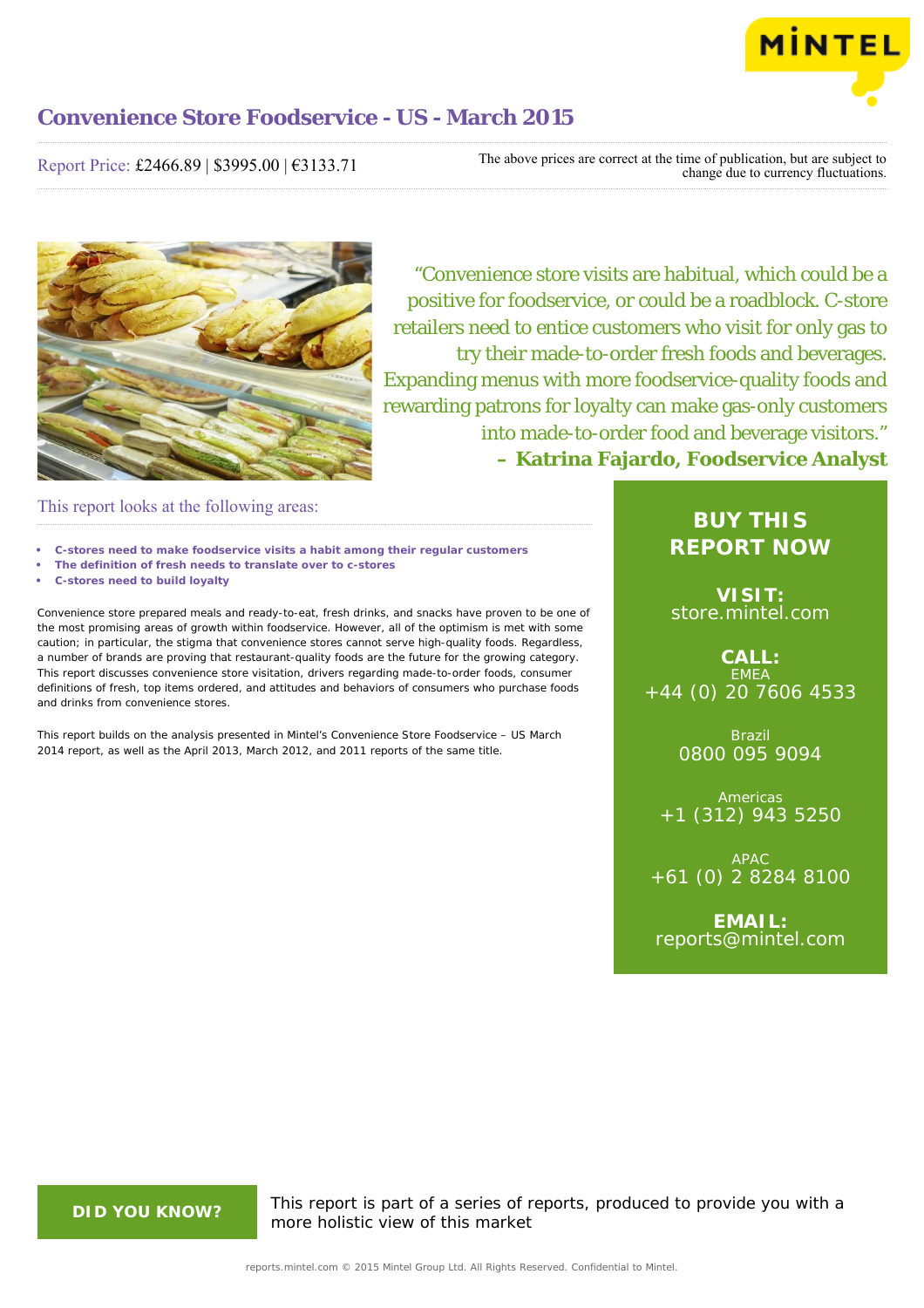

Report Price: £2466.89 | \$3995.00 | €3133.71

The above prices are correct at the time of publication, but are subject to change due to currency fluctuations.



"Convenience store visits are habitual, which could be a positive for foodservice, or could be a roadblock. C-store retailers need to entice customers who visit for only gas to try their made-to-order fresh foods and beverages. Expanding menus with more foodservice-quality foods and rewarding patrons for loyalty can make gas-only customers into made-to-order food and beverage visitors." **– Katrina Fajardo, Foodservice Analyst**

This report looks at the following areas:

- **• C-stores need to make foodservice visits a habit among their regular customers**
- **• The definition of fresh needs to translate over to c-stores**
- **• C-stores need to build loyalty**

Convenience store prepared meals and ready-to-eat, fresh drinks, and snacks have proven to be one of the most promising areas of growth within foodservice. However, all of the optimism is met with some caution; in particular, the stigma that convenience stores cannot serve high-quality foods. Regardless, a number of brands are proving that restaurant-quality foods are the future for the growing category. This report discusses convenience store visitation, drivers regarding made-to-order foods, consumer definitions of fresh, top items ordered, and attitudes and behaviors of consumers who purchase foods and drinks from convenience stores.

This report builds on the analysis presented in Mintel's Convenience Store Foodservice – US March 2014 report, as well as the April 2013, March 2012, and 2011 reports of the same title.

# **BUY THIS REPORT NOW**

**VISIT:** [store.mintel.com](http://reports.mintel.com//display/store/716323/)

**CALL: EMEA** +44 (0) 20 7606 4533

> Brazil 0800 095 9094

**Americas** +1 (312) 943 5250

APAC +61 (0) 2 8284 8100

**EMAIL:** [reports@mintel.com](mailto:reports@mintel.com)

**DID YOU KNOW?** This report is part of a series of reports, produced to provide you with a more holistic view of this market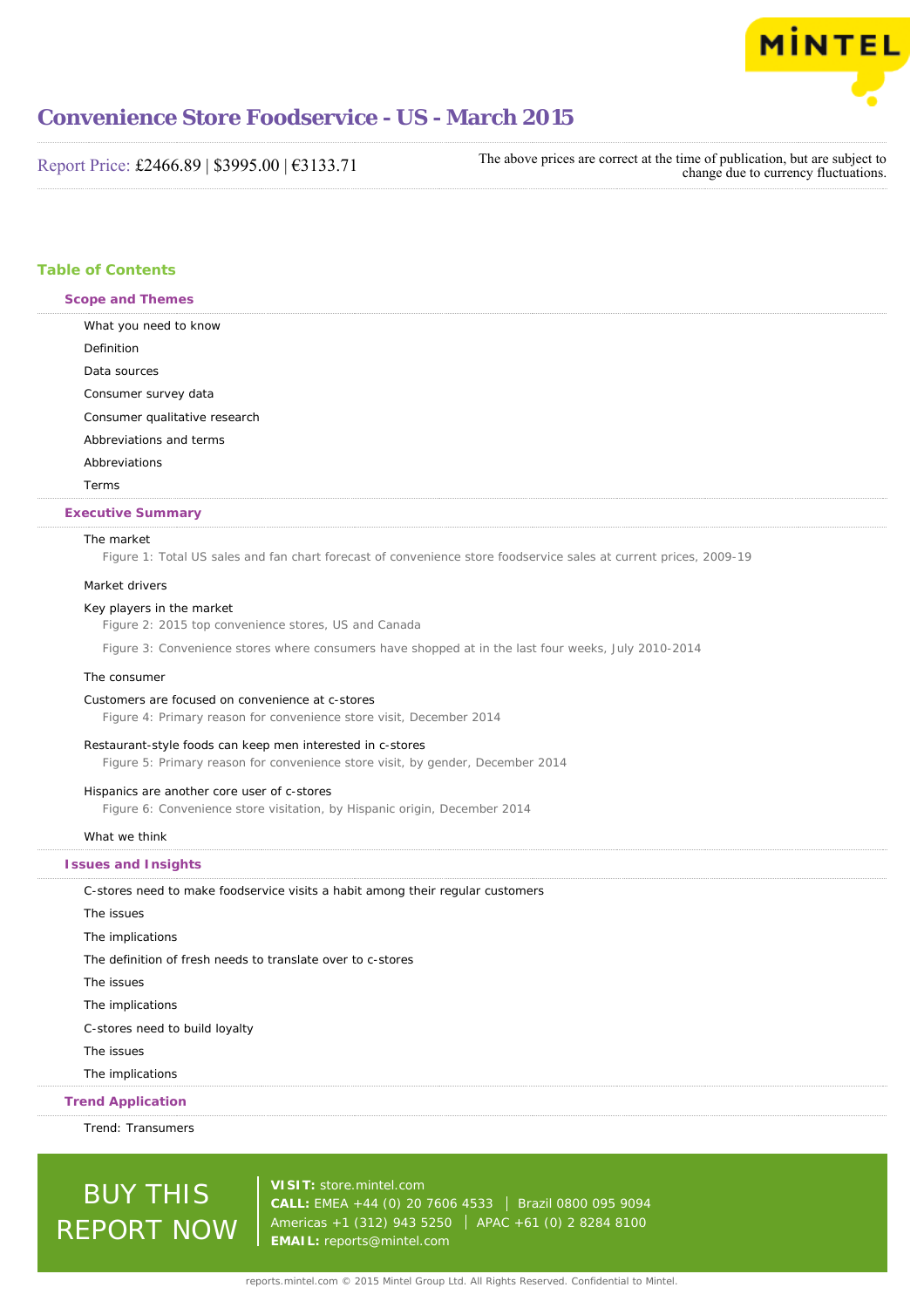

Report Price: £2466.89 | \$3995.00 | €3133.71

The above prices are correct at the time of publication, but are subject to change due to currency fluctuations.

### **Table of Contents**

**Scope and Themes**

What you need to know Definition

Data sources

Consumer survey data

Consumer qualitative research

Abbreviations and terms

#### Abbreviations

Terms

#### **Executive Summary**

#### The market

Figure 1: Total US sales and fan chart forecast of convenience store foodservice sales at current prices, 2009-19

#### Market drivers

#### Key players in the market

Figure 2: 2015 top convenience stores, US and Canada

Figure 3: Convenience stores where consumers have shopped at in the last four weeks, July 2010-2014

#### The consumer

#### Customers are focused on convenience at c-stores

Figure 4: Primary reason for convenience store visit, December 2014

#### Restaurant-style foods can keep men interested in c-stores

Figure 5: Primary reason for convenience store visit, by gender, December 2014

#### Hispanics are another core user of c-stores

Figure 6: Convenience store visitation, by Hispanic origin, December 2014

#### What we think

#### **Issues and Insights**

C-stores need to make foodservice visits a habit among their regular customers The issues The implications The definition of fresh needs to translate over to c-stores The issues The implications C-stores need to build loyalty The issues The implications

### **Trend Application**

Trend: Transumers

# BUY THIS REPORT NOW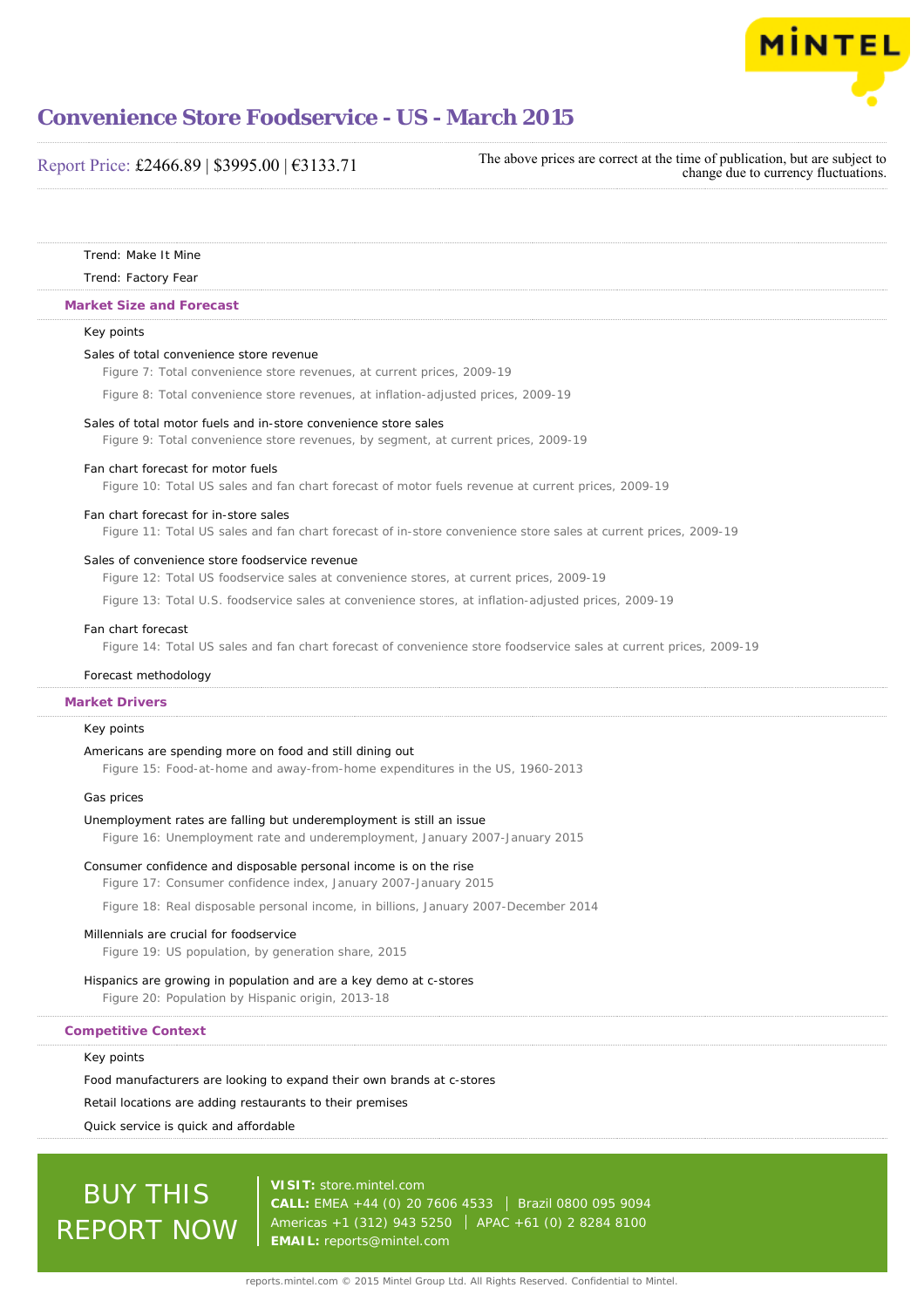

### Report Price: £2466.89 | \$3995.00 | €3133.71

The above prices are correct at the time of publication, but are subject to change due to currency fluctuations.

Trend: Make It Mine

#### Trend: Factory Fear

#### **Market Size and Forecast**

#### Key points

#### Sales of total convenience store revenue

Figure 7: Total convenience store revenues, at current prices, 2009-19

Figure 8: Total convenience store revenues, at inflation-adjusted prices, 2009-19

#### Sales of total motor fuels and in-store convenience store sales

Figure 9: Total convenience store revenues, by segment, at current prices, 2009-19

#### Fan chart forecast for motor fuels

Figure 10: Total US sales and fan chart forecast of motor fuels revenue at current prices, 2009-19

#### Fan chart forecast for in-store sales

Figure 11: Total US sales and fan chart forecast of in-store convenience store sales at current prices, 2009-19

#### Sales of convenience store foodservice revenue

Figure 12: Total US foodservice sales at convenience stores, at current prices, 2009-19

Figure 13: Total U.S. foodservice sales at convenience stores, at inflation-adjusted prices, 2009-19

#### Fan chart forecast

Figure 14: Total US sales and fan chart forecast of convenience store foodservice sales at current prices, 2009-19

### Forecast methodology

#### **Market Drivers**

### Key points

#### Americans are spending more on food and still dining out

Figure 15: Food-at-home and away-from-home expenditures in the US, 1960-2013

#### Gas prices

#### Unemployment rates are falling but underemployment is still an issue

Figure 16: Unemployment rate and underemployment, January 2007-January 2015

#### Consumer confidence and disposable personal income is on the rise

Figure 17: Consumer confidence index, January 2007-January 2015

Figure 18: Real disposable personal income, in billions, January 2007-December 2014

#### Millennials are crucial for foodservice

Figure 19: US population, by generation share, 2015

#### Hispanics are growing in population and are a key demo at c-stores

Figure 20: Population by Hispanic origin, 2013-18

#### **Competitive Context**

#### Key points

Food manufacturers are looking to expand their own brands at c-stores

#### Retail locations are adding restaurants to their premises

Quick service is quick and affordable

# BUY THIS REPORT NOW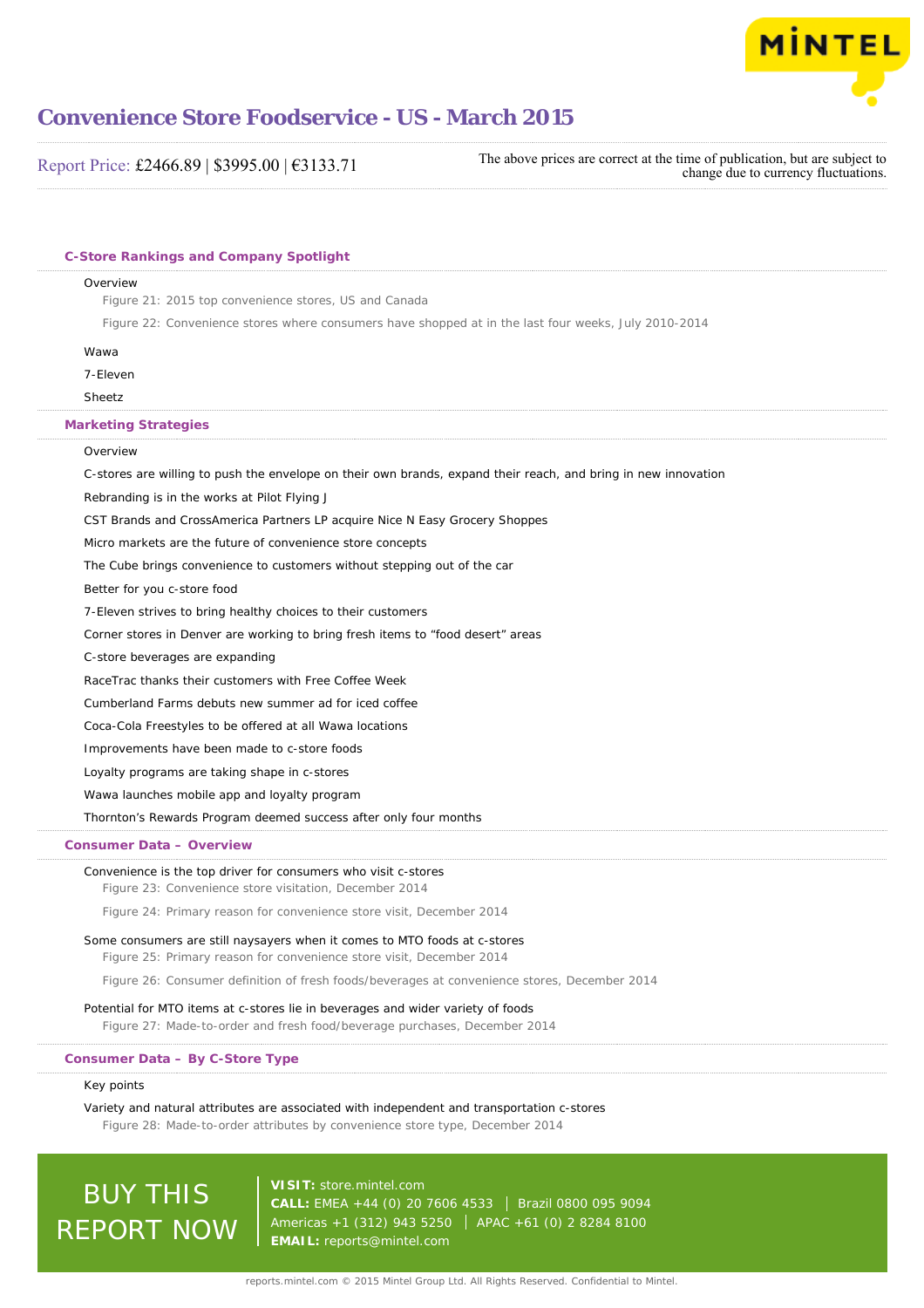

Report Price: £2466.89 | \$3995.00 | €3133.71 The above prices are correct at the time of publication, but are subject to change due to currency fluctuations.

| Overview<br>Figure 21: 2015 top convenience stores, US and Canada                                                                                            |
|--------------------------------------------------------------------------------------------------------------------------------------------------------------|
| Figure 22: Convenience stores where consumers have shopped at in the last four weeks, July 2010-2014                                                         |
|                                                                                                                                                              |
| Wawa                                                                                                                                                         |
| 7-Eleven                                                                                                                                                     |
| Sheetz                                                                                                                                                       |
| <b>Marketing Strategies</b>                                                                                                                                  |
| Overview                                                                                                                                                     |
| C-stores are willing to push the envelope on their own brands, expand their reach, and bring in new innovation                                               |
| Rebranding is in the works at Pilot Flying J                                                                                                                 |
| CST Brands and CrossAmerica Partners LP acquire Nice N Easy Grocery Shoppes                                                                                  |
| Micro markets are the future of convenience store concepts                                                                                                   |
| The Cube brings convenience to customers without stepping out of the car                                                                                     |
| Better for you c-store food                                                                                                                                  |
| 7-Eleven strives to bring healthy choices to their customers                                                                                                 |
| Corner stores in Denver are working to bring fresh items to "food desert" areas<br>C-store beverages are expanding                                           |
| RaceTrac thanks their customers with Free Coffee Week                                                                                                        |
| Cumberland Farms debuts new summer ad for iced coffee                                                                                                        |
| Coca-Cola Freestyles to be offered at all Wawa locations                                                                                                     |
| Improvements have been made to c-store foods                                                                                                                 |
| Loyalty programs are taking shape in c-stores                                                                                                                |
| Wawa launches mobile app and loyalty program                                                                                                                 |
| Thornton's Rewards Program deemed success after only four months                                                                                             |
| Consumer Data - Overview                                                                                                                                     |
| Convenience is the top driver for consumers who visit c-stores                                                                                               |
| Figure 23: Convenience store visitation, December 2014                                                                                                       |
| Figure 24: Primary reason for convenience store visit, December 2014                                                                                         |
| Some consumers are still naysayers when it comes to MTO foods at c-stores<br>Figure 25: Primary reason for convenience store visit, December 2014            |
| Figure 26: Consumer definition of fresh foods/beverages at convenience stores, December 2014                                                                 |
| Potential for MTO items at c-stores lie in beverages and wider variety of foods<br>Figure 27: Made-to-order and fresh food/beverage purchases, December 2014 |
| Consumer Data - By C-Store Type                                                                                                                              |
| Key points                                                                                                                                                   |
| Variety and natural attributes are associated with independent and transportation c-stores                                                                   |

Figure 28: Made-to-order attributes by convenience store type, December 2014

BUY THIS REPORT NOW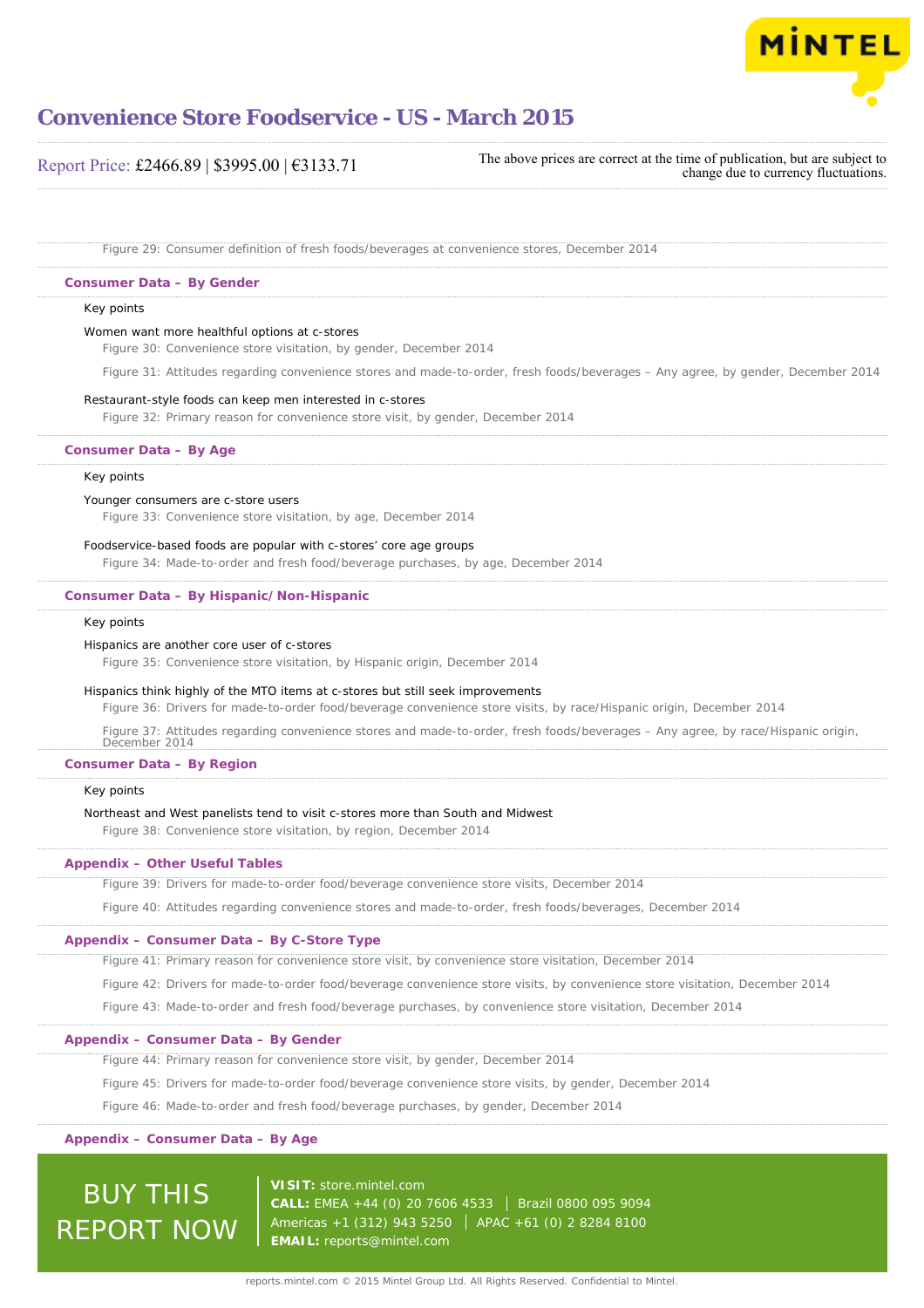

Report Price: £2466.89 | \$3995.00 | €3133.71

The above prices are correct at the time of publication, but are subject to change due to currency fluctuations.

Figure 29: Consumer definition of fresh foods/beverages at convenience stores, December 2014

#### **Consumer Data – By Gender**

#### Key points

#### Women want more healthful options at c-stores

Figure 30: Convenience store visitation, by gender, December 2014

Figure 31: Attitudes regarding convenience stores and made-to-order, fresh foods/beverages – Any agree, by gender, December 2014

#### Restaurant-style foods can keep men interested in c-stores

Figure 32: Primary reason for convenience store visit, by gender, December 2014

#### **Consumer Data – By Age**

#### Key points

#### Younger consumers are c-store users

Figure 33: Convenience store visitation, by age, December 2014

#### Foodservice-based foods are popular with c-stores' core age groups

Figure 34: Made-to-order and fresh food/beverage purchases, by age, December 2014

#### **Consumer Data – By Hispanic/Non-Hispanic**

#### Key points

#### Hispanics are another core user of c-stores

Figure 35: Convenience store visitation, by Hispanic origin, December 2014

#### Hispanics think highly of the MTO items at c-stores but still seek improvements

Figure 36: Drivers for made-to-order food/beverage convenience store visits, by race/Hispanic origin, December 2014

Figure 37: Attitudes regarding convenience stores and made-to-order, fresh foods/beverages – Any agree, by race/Hispanic origin,

### December 2014 **Consumer Data – By Region**

#### Key points

#### Northeast and West panelists tend to visit c-stores more than South and Midwest

Figure 38: Convenience store visitation, by region, December 2014

#### **Appendix – Other Useful Tables**

Figure 39: Drivers for made-to-order food/beverage convenience store visits, December 2014

Figure 40: Attitudes regarding convenience stores and made-to-order, fresh foods/beverages, December 2014

#### **Appendix – Consumer Data – By C-Store Type**

Figure 41: Primary reason for convenience store visit, by convenience store visitation, December 2014

Figure 42: Drivers for made-to-order food/beverage convenience store visits, by convenience store visitation, December 2014

Figure 43: Made-to-order and fresh food/beverage purchases, by convenience store visitation, December 2014

#### **Appendix – Consumer Data – By Gender**

Figure 44: Primary reason for convenience store visit, by gender, December 2014

Figure 45: Drivers for made-to-order food/beverage convenience store visits, by gender, December 2014

Figure 46: Made-to-order and fresh food/beverage purchases, by gender, December 2014

#### **Appendix – Consumer Data – By Age**

### **VISIT:** [store.mintel.com](http://reports.mintel.com//display/store/716323/)

BUY THIS REPORT NOW